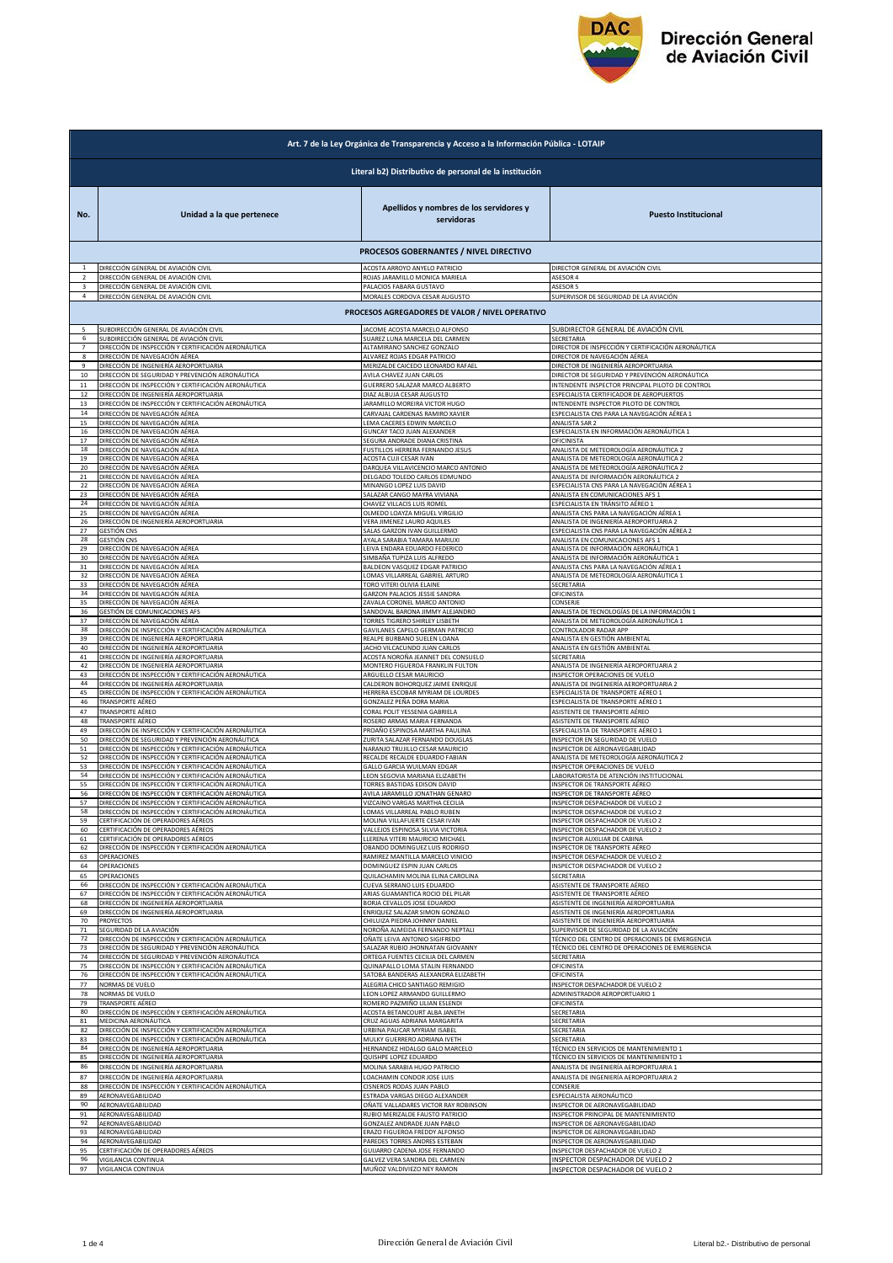

|                | Art. 7 de la Ley Orgánica de Transparencia y Acceso a la Información Pública - LOTAIP                      |                                                                                  |                                                                      |  |  |
|----------------|------------------------------------------------------------------------------------------------------------|----------------------------------------------------------------------------------|----------------------------------------------------------------------|--|--|
|                | Literal b2) Distributivo de personal de la institución                                                     |                                                                                  |                                                                      |  |  |
| No.            | Unidad a la que pertenece                                                                                  | Apellidos y nombres de los servidores y<br>servidoras                            | <b>Puesto Institucional</b>                                          |  |  |
|                |                                                                                                            | PROCESOS GOBERNANTES / NIVEL DIRECTIVO                                           |                                                                      |  |  |
| $\mathbf{1}$   | DIRECCIÓN GENERAL DE AVIACIÓN CIVIL                                                                        | ACOSTA ARROYO ANYELO PATRICIO                                                    | DIRECTOR GENERAL DE AVIACIÓN CIVIL                                   |  |  |
| 2              | DIRECCIÓN GENERAL DE AVIACIÓN CIVIL                                                                        | ROJAS JARAMILLO MONICA MARIELA                                                   | ASESOR 4                                                             |  |  |
| 3              | DIRECCIÓN GENERAL DE AVIACIÓN CIVIL                                                                        | PALACIOS FABARA GUSTAVO                                                          | ASESOR 5                                                             |  |  |
| $\overline{a}$ | DIRECCIÓN GENERAL DE AVIACIÓN CIVIL                                                                        | MORALES CORDOVA CESAR AUGUSTO<br>PROCESOS AGREGADORES DE VALOR / NIVEL OPERATIVO | SUPERVISOR DE SEGURIDAD DE LA AVIACIÓN                               |  |  |
|                | SUBDIRECCIÓN GENERAL DE AVIACIÓN CIVIL                                                                     | JACOME ACOSTA MARCELO ALFONSO                                                    | SUBDIRECTOR GENERAL DE AVIACIÓN CIVIL                                |  |  |
| 6              | SUBDIRECCIÓN GENERAL DE AVIACIÓN CIVIL                                                                     | SUAREZ LUNA MARCELA DEL CARMEN                                                   | SECRETARIA                                                           |  |  |
|                | DIRECCIÓN DE INSPECCIÓN Y CERTIFICACIÓN AERONÁUTICA                                                        | ALTAMIRANO SANCHEZ GONZALO                                                       | DIRECTOR DE INSPECCIÓN Y CERTIFICACIÓN AERONÁUTICA                   |  |  |
| 8              | DIRECCIÓN DE NAVEGACIÓN AÉREA                                                                              | ALVAREZ ROJAS EDGAR PATRICIO                                                     | DIRECTOR DE NAVEGACIÓN AÉREA                                         |  |  |
| 9              | DIRECCIÓN DE INGENIERÍA AEROPORTUARIA                                                                      | MERIZALDE CAICEDO LEONARDO RAFAEL                                                | DIRECTOR DE INGENIERÍA AEROPORTUARIA                                 |  |  |
| 10             | DIRECCIÓN DE SEGURIDAD Y PREVENCIÓN AERONÁUTICA                                                            | AVILA CHAVEZ JUAN CARLOS                                                         | DIRECTOR DE SEGURIDAD Y PREVENCIÓN AERONÁUTICA                       |  |  |
| 11             | DIRECCIÓN DE INSPECCIÓN Y CERTIFICACIÓN AERONÁUTICA                                                        | GUERRERO SALAZAR MARCO ALBERTO                                                   | INTENDENTE INSPECTOR PRINCIPAL PILOTO DE CONTROL                     |  |  |
| 12             | DIRECCIÓN DE INGENIERÍA AEROPORTUARIA                                                                      | DIAZ ALBUJA CESAR AUGUSTO                                                        | ESPECIALISTA CERTIFICADOR DE AEROPUERTOS                             |  |  |
| 13             | DIRECCIÓN DE INSPECCIÓN Y CERTIFICACIÓN AERONÁUTICA                                                        | JARAMILLO MOREIRA VICTOR HUGO                                                    | INTENDENTE INSPECTOR PILOTO DE CONTROL                               |  |  |
| 14             | DIRECCIÓN DE NAVEGACIÓN AÉREA                                                                              | CARVAJAL CARDENAS RAMIRO XAVIER                                                  | ESPECIALISTA CNS PARA LA NAVEGACIÓN AÉREA 1                          |  |  |
| 15             | DIRECCIÓN DE NAVEGACIÓN AÉREA                                                                              | LEMA CACERES EDWIN MARCELO                                                       | ANALISTA SAR 2                                                       |  |  |
| 16             | DIRECCIÓN DE NAVEGACIÓN AÉREA                                                                              | GUNCAY TACO JUAN ALEXANDER                                                       | ESPECIALISTA EN INFORMACIÓN AERONÁUTICA 1                            |  |  |
| 17             | DIRECCIÓN DE NAVEGACIÓN AÉREA                                                                              | SEGURA ANDRADE DIANA CRISTINA                                                    | OFICINISTA                                                           |  |  |
| 18             | DIRECCIÓN DE NAVEGACIÓN AÉREA                                                                              | FUSTILLOS HERRERA FERNANDO JESUS                                                 | ANALISTA DE METEOROLOGÍA AERONÁUTICA 2                               |  |  |
| 19             | DIRECCIÓN DE NAVEGACIÓN AÉREA                                                                              | <b>ACOSTA CUJI CESAR IVAN</b>                                                    | ANALISTA DE METEOROLOGÍA AERONÁUTICA 2                               |  |  |
| 20             | DIRECCIÓN DE NAVEGACIÓN AÉREA                                                                              | DARQUEA VILLAVICENCIO MARCO ANTONIO                                              | ANALISTA DE METEOROLOGÍA AERONÁUTICA 2                               |  |  |
| 21             | DIRECCIÓN DE NAVEGACIÓN AÉREA                                                                              | DELGADO TOLEDO CARLOS EDMUNDO                                                    | ANALISTA DE INFORMACIÓN AERONÁUTICA 2                                |  |  |
| 22             | DIRECCIÓN DE NAVEGACIÓN AÉREA                                                                              | MINANGO LOPEZ LUIS DAVID                                                         | ESPECIALISTA CNS PARA LA NAVEGACIÓN AÉREA 1                          |  |  |
| 23             | DIRECCIÓN DE NAVEGACIÓN AÉREA                                                                              | SALAZAR CANGO MAYRA VIVIANA                                                      | ANALISTA EN COMUNICACIONES AFS 1                                     |  |  |
| 24             | DIRECCIÓN DE NAVEGACIÓN AÉREA                                                                              | CHAVEZ VILLACIS LUIS ROMEL                                                       | ESPECIALISTA EN TRÁNSITO AÉREO 1                                     |  |  |
| 25             | DIRECCIÓN DE NAVEGACIÓN AÉREA                                                                              | OLMEDO LOAYZA MIGUEL VIRGILIO                                                    | ANALISTA CNS PARA LA NAVEGACIÓN AÉREA 1                              |  |  |
| 26             | DIRECCIÓN DE INGENIERÍA AEROPORTUARIA                                                                      | VERA JIMENEZ LAURO AQUILES                                                       | ANALISTA DE INGENIERÍA AEROPORTUARIA 2                               |  |  |
| 27             | <b>GESTIÓN CNS</b>                                                                                         | SALAS GARZON IVAN GUILLERMO                                                      | ESPECIALISTA CNS PARA LA NAVEGACIÓN AÉREA 2                          |  |  |
| 28             | <b>GESTIÓN CNS</b>                                                                                         | AYALA SARABIA TAMARA MARIUXI                                                     | ANALISTA EN COMUNICACIONES AFS 1                                     |  |  |
| 29             | DIRECCIÓN DE NAVEGACIÓN AÉREA                                                                              | LEIVA ENDARA EDUARDO FEDERICO                                                    | ANALISTA DE INFORMACIÓN AERONÁUTICA 1                                |  |  |
| 30             | DIRECCIÓN DE NAVEGACIÓN AÉREA                                                                              | SIMBAÑA TUPIZA LUIS ALFREDO                                                      | ANALISTA DE INFORMACIÓN AERONÁUTICA 1                                |  |  |
| 31             | DIRECCIÓN DE NAVEGACIÓN AÉREA                                                                              | BALDEON VASQUEZ EDGAR PATRICIO                                                   | ANALISTA CNS PARA LA NAVEGACIÓN AÉREA 1                              |  |  |
| 32             | DIRECCIÓN DE NAVEGACIÓN AÉREA                                                                              | LOMAS VILLARREAL GABRIEL ARTURO                                                  | ANALISTA DE METEOROLOGÍA AERONÁUTICA 1                               |  |  |
| 33             | DIRECCIÓN DE NAVEGACIÓN AÉREA                                                                              | TORO VITERI OLIVIA ELAINE                                                        | SECRETARIA                                                           |  |  |
| 34             | DIRECCIÓN DE NAVEGACIÓN AÉREA                                                                              | GARZON PALACIOS JESSIE SANDRA                                                    | <b>OFICINISTA</b>                                                    |  |  |
| 35             | DIRECCIÓN DE NAVEGACIÓN AÉREA                                                                              | ZAVALA CORONEL MARCO ANTONIO                                                     | CONSERJE                                                             |  |  |
| 36             | GESTIÓN DE COMUNICACIONES AFS                                                                              | SANDOVAL BARONA JIMMY ALEJANDRO                                                  | ANALISTA DE TECNOLOGÍAS DE LA INFORMACIÓN 1                          |  |  |
| 37             | DIRECCIÓN DE NAVEGACIÓN AÉREA                                                                              | TORRES TIGRERO SHIRLEY LISBETH                                                   | ANALISTA DE METEOROLOGÍA AERONÁUTICA 1                               |  |  |
| 38             | DIRECCIÓN DE INSPECCIÓN Y CERTIFICACIÓN AERONÁUTICA                                                        | GAVILANES CAPELO GERMAN PATRICIO                                                 | CONTROLADOR RADAR APP                                                |  |  |
| 39             | DIRECCIÓN DE INGENIERÍA AEROPORTUARIA                                                                      | REALPE BURBANO SUELEN LOANA                                                      | ANALISTA EN GESTIÓN AMBIENTAL                                        |  |  |
| 40             | DIRECCIÓN DE INGENIERÍA AEROPORTUARIA                                                                      | JACHO VILCACUNDO JUAN CARLOS                                                     | ANALISTA EN GESTIÓN AMBIENTAL                                        |  |  |
| 41             | DIRECCIÓN DE INGENIERÍA AEROPORTUARIA                                                                      | ACOSTA NOROÑA JEANNET DEL CONSUELO                                               | SECRETARIA                                                           |  |  |
| 42             | DIRECCIÓN DE INGENIERÍA AEROPORTUARIA                                                                      | MONTERO FIGUEROA FRANKLIN FULTON                                                 | ANALISTA DE INGENIERÍA AEROPORTUARIA 2                               |  |  |
| 43             | DIRECCIÓN DE INSPECCIÓN Y CERTIFICACIÓN AERONÁUTICA                                                        | ARGUELLO CESAR MAURICIO                                                          | INSPECTOR OPERACIONES DE VUELO                                       |  |  |
| 44             | DIRECCIÓN DE INGENIERÍA AEROPORTUARIA                                                                      | CALDERON BOHORQUEZ JAIME ENRIQUE                                                 | ANALISTA DE INGENIERÍA AEROPORTUARIA 2                               |  |  |
| 45             | DIRECCIÓN DE INSPECCIÓN Y CERTIFICACIÓN AERONÁUTICA                                                        | HERRERA ESCOBAR MYRIAM DE LOURDES                                                | ESPECIALISTA DE TRANSPORTE AÉREO 1                                   |  |  |
| 46             | TRANSPORTE AÉREO                                                                                           | GONZALEZ PEÑA DORA MARIA                                                         | ESPECIALISTA DE TRANSPORTE AÉREO 1                                   |  |  |
| 47             | TRANSPORTE AÉREO                                                                                           | CORAL POLIT YESSENIA GABRIELA                                                    | ASISTENTE DE TRANSPORTE AÉREO                                        |  |  |
| 48             | TRANSPORTE AÉREO                                                                                           | ROSERO ARMAS MARIA FERNANDA                                                      | ASISTENTE DE TRANSPORTE AÉREO                                        |  |  |
| 49             | DIRECCIÓN DE INSPECCIÓN Y CERTIFICACIÓN AERONÁUTICA                                                        | PROAÑO ESPINOSA MARTHA PAULINA                                                   | ESPECIALISTA DE TRANSPORTE AÉREO 1                                   |  |  |
| 50             | DIRECCIÓN DE SEGURIDAD Y PREVENCIÓN AERONÁUTICA                                                            | ZURITA SALAZAR FERNANDO DOUGLAS                                                  | INSPECTOR EN SEGURIDAD DE VUELO                                      |  |  |
| 51             | DIRECCIÓN DE INSPECCIÓN Y CERTIFICACIÓN AERONÁUTICA<br>DIRECCIÓN DE INSPECCIÓN Y CERTIFICACIÓN AERONÁUTICA | NARANJO TRUJILLO CESAR MAURICIO                                                  | INSPECTOR DE AERONAVEGABILIDAD                                       |  |  |
| 52             | DIRECCIÓN DE INSPECCIÓN Y CERTIFICACIÓN AERONÁUTICA                                                        | RECALDE RECALDE EDUARDO FABIAN                                                   | ANALISTA DE METEOROLOGÍA AERONÁUTICA 2                               |  |  |
| 53             |                                                                                                            | GALLO GARCIA WUILMAN EDGAR                                                       | INSPECTOR OPERACIONES DE VUELO                                       |  |  |
| 54             | DIRECCIÓN DE INSPECCIÓN Y CERTIFICACIÓN AERONÁUTICA                                                        | LEON SEGOVIA MARIANA ELIZABETH                                                   | LABORATORISTA DE ATENCIÓN INSTITUCIONAL                              |  |  |
| 55             | DIRECCIÓN DE INSPECCIÓN Y CERTIFICACIÓN AERONÁUTICA                                                        | <b>TORRES BASTIDAS EDISON DAVID</b>                                              | INSPECTOR DE TRANSPORTE AÉREO                                        |  |  |
| 56             | DIRECCIÓN DE INSPECCIÓN Y CERTIFICACIÓN AERONÁUTICA                                                        | AVILA JARAMILLO JONATHAN GENARO                                                  | INSPECTOR DE TRANSPORTE AÉREO                                        |  |  |
| 57             | IDIRECCION DE INSPECCION Y CERTIFICACION AERONAUTICA                                                       | VIZCAINO VARGAS MARTHA CECILIA                                                   | INSPECTOR DESPACHADOR DE VUELO 2                                     |  |  |
| 58             | DIRECCIÓN DE INSPECCIÓN Y CERTIFICACIÓN AERONÁUTICA                                                        | LOMAS VILLARREAL PABLO RUBEN                                                     | INSPECTOR DESPACHADOR DE VUELO 2                                     |  |  |
| 59             | CERTIFICACIÓN DE OPERADORES AÉREOS                                                                         | MOLINA VILLAFUERTE CESAR IVAN                                                    | INSPECTOR DESPACHADOR DE VUELO 2<br>INSPECTOR DESPACHADOR DE VUELO 2 |  |  |
| 60             | CERTIFICACIÓN DE OPERADORES AÉREOS                                                                         | VALLEJOS ESPINOSA SILVIA VICTORIA                                                | INSPECTOR AUXILIAR DE CABINA                                         |  |  |
| 61             | CERTIFICACIÓN DE OPERADORES AÉREOS                                                                         | LLERENA VITERI MAURICIO MICHAEL                                                  |                                                                      |  |  |
| 62             | DIRECCIÓN DE INSPECCIÓN Y CERTIFICACIÓN AERONÁUTICA                                                        | OBANDO DOMINGUEZ LUIS RODRIGO                                                    | INSPECTOR DE TRANSPORTE AÉREO                                        |  |  |
| 63             | OPERACIONES                                                                                                | RAMIREZ MANTILLA MARCELO VINICIO                                                 | INSPECTOR DESPACHADOR DE VUELO 2                                     |  |  |
| 64             | OPERACIONES                                                                                                | DOMINGUEZ ESPIN JUAN CARLOS                                                      | INSPECTOR DESPACHADOR DE VUELO 2                                     |  |  |
| 65             | OPERACIONES                                                                                                | QUILACHAMIN MOLINA ELINA CAROLINA                                                | SECRETARIA                                                           |  |  |
| 66             | DIRECCIÓN DE INSPECCIÓN Y CERTIFICACIÓN AERONÁUTICA                                                        | CUEVA SERRANO LUIS EDUARDO                                                       | ASISTENTE DE TRANSPORTE AÉREO                                        |  |  |
| 67             | DIRECCIÓN DE INSPECCIÓN Y CERTIFICACIÓN AERONÁUTICA                                                        | ARIAS GUAMANTICA ROCIO DEL PILAR                                                 | ASISTENTE DE TRANSPORTE AÉREO                                        |  |  |
| 68             | DIRECCIÓN DE INGENIERÍA AEROPORTUARIA                                                                      | BORJA CEVALLOS JOSE EDUARDO                                                      | ASISTENTE DE INGENIERÍA AEROPORTUARIA                                |  |  |
| 69             | DIRECCIÓN DE INGENIERÍA AEROPORTUARIA                                                                      | ENRIQUEZ SALAZAR SIMON GONZALO                                                   | ASISTENTE DE INGENIERÍA AEROPORTUARIA                                |  |  |
| 70             | PROYECTOS                                                                                                  | CHILUIZA PIEDRA JOHNNY DANIEL                                                    | ASISTENTE DE INGENIERÍA AEROPORTUARIA                                |  |  |
| 71             | SEGURIDAD DE LA AVIACIÓN                                                                                   | NOROÑA ALMEIDA FERNANDO NEPTALI                                                  | SUPERVISOR DE SEGURIDAD DE LA AVIACIÓN                               |  |  |
| 72             | DIRECCIÓN DE INSPECCIÓN Y CERTIFICACIÓN AERONÁUTICA                                                        | OÑATE LEIVA ANTONIO SIGIFREDO                                                    | TÉCNICO DEL CENTRO DE OPERACIONES DE EMERGENCIA                      |  |  |
| 73             | DIRECCIÓN DE SEGURIDAD Y PREVENCIÓN AERONÁUTICA                                                            | SALAZAR RUBIO JHONNATAN GIOVANNY                                                 | TÉCNICO DEL CENTRO DE OPERACIONES DE EMERGENCIA                      |  |  |
| 74             | DIRECCIÓN DE SEGURIDAD Y PREVENCIÓN AERONÁUTICA                                                            | ORTEGA FUENTES CECILIA DEL CARMEN                                                | SECRETARIA                                                           |  |  |
| 75             | DIRECCIÓN DE INSPECCIÓN Y CERTIFICACIÓN AERONÁUTICA                                                        | QUINAPALLO LOMA STALIN FERNANDO                                                  | OFICINISTA                                                           |  |  |
| 76             | DIRECCIÓN DE INSPECCIÓN Y CERTIFICACIÓN AERONÁUTICA                                                        | SATOBA BANDERAS ALEXANDRA ELIZABETH                                              | OFICINISTA                                                           |  |  |
| 77             | NORMAS DE VUELO                                                                                            | ALEGRIA CHICO SANTIAGO REMIGIO                                                   | INSPECTOR DESPACHADOR DE VUELO 2                                     |  |  |
| 78             | NORMAS DE VUELO                                                                                            | LEON LOPEZ ARMANDO GUILLERMO                                                     | ADMINISTRADOR AEROPORTUARIO 1                                        |  |  |
| 79             | TRANSPORTE AÉREO                                                                                           | ROMERO PAZMIÑO LILIAN ESLENDI                                                    | OFICINISTA                                                           |  |  |
| 80             | DIRECCIÓN DE INSPECCIÓN Y CERTIFICACIÓN AERONÁUTICA                                                        | ACOSTA BETANCOURT ALBA JANETH                                                    | SECRETARIA                                                           |  |  |
| 81             | MEDICINA AERONÁUTICA                                                                                       | CRUZ AGUAS ADRIANA MARGARITA                                                     | SECRETARIA                                                           |  |  |
| 82             | DIRECCIÓN DE INSPECCIÓN Y CERTIFICACIÓN AERONÁUTICA                                                        | URBINA PAUCAR MYRIAM ISABEL                                                      | SECRETARIA                                                           |  |  |
| 83             | DIRECCIÓN DE INSPECCIÓN Y CERTIFICACIÓN AERONÁUTICA                                                        | MULKY GUERRERO ADRIANA IVETH                                                     | SECRETARIA                                                           |  |  |
| 84             | DIRECCIÓN DE INGENIERÍA AEROPORTUARIA                                                                      | HERNANDEZ HIDALGO GALO MARCELO                                                   | TÉCNICO EN SERVICIOS DE MANTENIMIENTO 1                              |  |  |
| 85             | DIRECCIÓN DE INGENIERÍA AEROPORTUARIA                                                                      | QUISHPE LOPEZ EDUARDO                                                            | TÉCNICO EN SERVICIOS DE MANTENIMIENTO 1                              |  |  |
| 86             | DIRECCIÓN DE INGENIERÍA AEROPORTUARIA                                                                      | MOLINA SARABIA HUGO PATRICIO                                                     | ANALISTA DE INGENIERÍA AEROPORTUARIA 1                               |  |  |
| 87             | DIRECCIÓN DE INGENIERÍA AEROPORTUARIA                                                                      | LOACHAMIN CONDOR JOSE LUIS                                                       | ANALISTA DE INGENIERÍA AEROPORTUARIA 2                               |  |  |
| 88             | DIRECCIÓN DE INSPECCIÓN Y CERTIFICACIÓN AERONÁUTICA                                                        | CISNEROS RODAS JUAN PABLO                                                        | CONSERJE                                                             |  |  |
| 89             | AERONAVEGABILIDAD                                                                                          | ESTRADA VARGAS DIEGO ALEXANDER                                                   | ESPECIALISTA AERONÁUTICO                                             |  |  |
| 90             | AERONAVEGABILIDAD                                                                                          | OÑATE VALLADARES VICTOR RAY ROBINSON                                             | INSPECTOR DE AERONAVEGABILIDAD                                       |  |  |
| 91             | AERONAVEGABILIDAD                                                                                          | RUBIO MERIZALDE FAUSTO PATRICIO                                                  | INSPECTOR PRINCIPAL DE MANTENIMIENTO                                 |  |  |
| 92             | AERONAVEGABILIDAD                                                                                          | GONZALEZ ANDRADE JUAN PABLO                                                      | INSPECTOR DE AERONAVEGABILIDAD                                       |  |  |
| 93<br>94       | AERONAVEGABILIDAD                                                                                          | ERAZO FIGUEROA FREDDY ALFONSO                                                    | INSPECTOR DE AERONAVEGABILIDAD<br>INSPECTOR DE AERONAVEGABILIDAD     |  |  |
| 95             | AERONAVEGABILIDAD<br>CERTIFICACIÓN DE OPERADORES AÉREOS                                                    | PAREDES TORRES ANDRES ESTEBAN<br>GUIJARRO CADENA JOSE FERNANDO                   | INSPECTOR DESPACHADOR DE VUELO 2                                     |  |  |
| 96             | VIGILANCIA CONTINUA                                                                                        | GALVEZ VERA SANDRA DEL CARMEN                                                    | INSPECTOR DESPACHADOR DE VUELO 2                                     |  |  |
| 97             | VIGILANCIA CONTINUA                                                                                        | MUÑOZ VALDIVIEZO NEY RAMON                                                       | INSPECTOR DESPACHADOR DE VUELO 2                                     |  |  |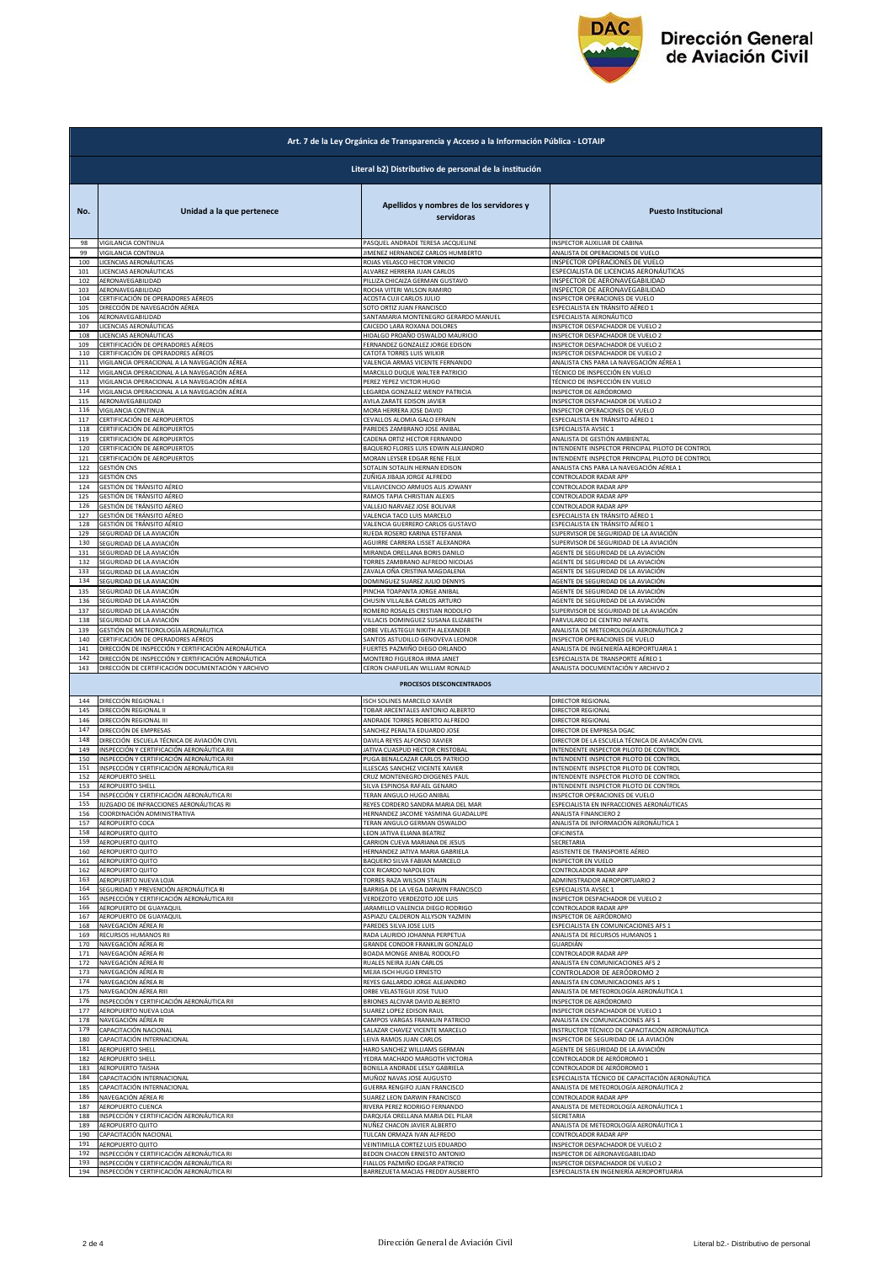

|            | Art. 7 de la Ley Orgánica de Transparencia y Acceso a la Información Pública - LOTAIP |                                                         |                                                                          |  |  |
|------------|---------------------------------------------------------------------------------------|---------------------------------------------------------|--------------------------------------------------------------------------|--|--|
|            | Literal b2) Distributivo de personal de la institución                                |                                                         |                                                                          |  |  |
| No.        | Unidad a la que pertenece                                                             | Apellidos y nombres de los servidores y<br>servidoras   | <b>Puesto Institucional</b>                                              |  |  |
| 98         | VIGILANCIA CONTINUA                                                                   | PASQUEL ANDRADE TERESA JACQUELINE                       | INSPECTOR AUXILIAR DE CABINA                                             |  |  |
| 99         | VIGILANCIA CONTINUA                                                                   | JIMENEZ HERNANDEZ CARLOS HUMBERTO                       | ANALISTA DE OPERACIONES DE VUELO                                         |  |  |
| 100        | LICENCIAS AERONÁUTICAS                                                                | ROJAS VELASCO HECTOR VINICIO                            | INSPECTOR OPERACIONES DE VUELO                                           |  |  |
| 101        | LICENCIAS AERONÁUTICAS                                                                | ALVAREZ HERRERA JUAN CARLOS                             |                                                                          |  |  |
| 102        | AERONAVEGABILIDAD                                                                     | PILLIZA CHICAIZA GERMAN GUSTAVO                         | ESPECIALISTA DE LICENCIAS AERONÁUTICAS<br>INSPECTOR DE AERONAVEGABILIDAD |  |  |
| 103        | AERONAVEGABILIDAD                                                                     | ROCHA VITERI WILSON RAMIRO                              | INSPECTOR DE AERONAVEGABILIDAD                                           |  |  |
| 104        | CERTIFICACIÓN DE OPERADORES AÉREOS                                                    | ACOSTA CUJI CARLOS JULIO                                | INSPECTOR OPERACIONES DE VUELO                                           |  |  |
| 105        | DIRECCIÓN DE NAVEGACIÓN AÉREA                                                         | SOTO ORTIZ JUAN FRANCISCO                               | ESPECIALISTA EN TRÁNSITO AÉREO 1                                         |  |  |
| 106        | AERONAVEGABILIDAD                                                                     | SANTAMARIA MONTENEGRO GERARDO MANUEL                    | ESPECIALISTA AERONÁUTICO                                                 |  |  |
| 107        | LICENCIAS AERONÁUTICAS                                                                | CAICEDO LARA ROXANA DOLORES                             | INSPECTOR DESPACHADOR DE VUELO 2                                         |  |  |
| 108        | LICENCIAS AERONÁUTICAS                                                                | HIDALGO PROAÑO OSWALDO MAURICIO                         |                                                                          |  |  |
| 109        | CERTIFICACIÓN DE OPERADORES AÉREOS                                                    | FERNANDEZ GONZALEZ JORGE EDISON                         | INSPECTOR DESPACHADOR DE VUELO 2<br>INSPECTOR DESPACHADOR DE VUELO 2     |  |  |
| 110        | CERTIFICACIÓN DE OPERADORES AÉREOS                                                    | CATOTA TORRES LUIS WILKIR                               | INSPECTOR DESPACHADOR DE VUELO 2                                         |  |  |
| 111        | VIGILANCIA OPERACIONAL A LA NAVEGACIÓN AÉREA                                          | VALENCIA ARMAS VICENTE FERNANDO                         | ANALISTA CNS PARA LA NAVEGACIÓN AÉREA 1                                  |  |  |
| 112        | VIGILANCIA OPERACIONAL A LA NAVEGACIÓN AÉREA                                          | MARCILLO DUQUE WALTER PATRICIO                          | TÉCNICO DE INSPECCIÓN EN VUELO                                           |  |  |
| 113        | VIGILANCIA OPERACIONAL A LA NAVEGACIÓN AÉREA                                          | PEREZ YEPEZ VICTOR HUGO                                 | TÉCNICO DE INSPECCIÓN EN VUELO                                           |  |  |
| 114        | VIGILANCIA OPERACIONAL A LA NAVEGACIÓN AÉREA                                          | LEGARDA GONZALEZ WENDY PATRICIA                         | INSPECTOR DE AERÓDROMO                                                   |  |  |
| 115        | AERONAVEGABILIDAD                                                                     | AVILA ZARATE EDISON JAVIER                              | INSPECTOR DESPACHADOR DE VUELO 2                                         |  |  |
| 116        | VIGILANCIA CONTINUA                                                                   | MORA HERRERA JOSE DAVID                                 | INSPECTOR OPERACIONES DE VUELO                                           |  |  |
| 117        | CERTIFICACIÓN DE AEROPUERTOS                                                          | CEVALLOS ALOMIA GALO EFRAIN                             | ESPECIALISTA EN TRÁNSITO AÉREO 1                                         |  |  |
| 118        | CERTIFICACIÓN DE AEROPUERTOS                                                          | PAREDES ZAMBRANO JOSE ANIBAL                            | <b>ESPECIALISTA AVSEC 1</b>                                              |  |  |
| 119        | CERTIFICACIÓN DE AEROPUERTOS                                                          | CADENA ORTIZ HECTOR FERNANDO                            | ANALISTA DE GESTIÓN AMBIENTAL                                            |  |  |
| 120        | CERTIFICACIÓN DE AEROPUERTOS                                                          | BAQUERO FLORES LUIS EDWIN ALEJANDRO                     | INTENDENTE INSPECTOR PRINCIPAL PILOTO DE CONTROL                         |  |  |
| 121        | CERTIFICACIÓN DE AEROPUERTOS                                                          | MORAN LEYSER EDGAR RENE FELIX                           | INTENDENTE INSPECTOR PRINCIPAL PILOTO DE CONTROL                         |  |  |
| 122        | <b>GESTIÓN CNS</b>                                                                    | SOTALIN SOTALIN HERNAN EDISON                           | ANALISTA CNS PARA LA NAVEGACIÓN AÉREA 1                                  |  |  |
| 123        | <b>GESTIÓN CNS</b>                                                                    | ZUÑIGA JIBAJA JORGE ALFREDO                             | CONTROLADOR RADAR APP                                                    |  |  |
| 124        | <b>GESTIÓN DE TRÁNSITO AÉREO</b>                                                      | VILLAVICENCIO ARMIJOS ALIS JOWANY                       | CONTROLADOR RADAR APP                                                    |  |  |
| 125        | GESTIÓN DE TRÁNSITO AÉREO                                                             | RAMOS TAPIA CHRISTIAN ALEXIS                            | CONTROLADOR RADAR APP                                                    |  |  |
| 126        | GESTIÓN DE TRÁNSITO AÉREO                                                             | VALLEJO NARVAEZ JOSE BOLIVAR                            | CONTROLADOR RADAR APP                                                    |  |  |
| 127<br>128 | GESTIÓN DE TRÁNSITO AÉREO                                                             | VALENCIA TACO LUIS MARCELO                              | ESPECIALISTA EN TRÁNSITO AÉREO 1                                         |  |  |
| 129        | GESTIÓN DE TRÁNSITO AÉREO                                                             | VALENCIA GUERRERO CARLOS GUSTAVO                        | ESPECIALISTA EN TRÁNSITO AÉREO 1                                         |  |  |
|            | SEGURIDAD DE LA AVIACIÓN                                                              | RUEDA ROSERO KARINA ESTEFANIA                           | SUPERVISOR DE SEGURIDAD DE LA AVIACIÓN                                   |  |  |
| 130        | SEGURIDAD DE LA AVIACIÓN                                                              | AGUIRRE CARRERA LISSET ALEXANDRA                        | SUPERVISOR DE SEGURIDAD DE LA AVIACIÓN                                   |  |  |
| 131        | SEGURIDAD DE LA AVIACIÓN                                                              | MIRANDA ORELLANA BORIS DANILO                           | AGENTE DE SEGURIDAD DE LA AVIACIÓN                                       |  |  |
| 132        | SEGURIDAD DE LA AVIACIÓN                                                              | TORRES ZAMBRANO ALFREDO NICOLAS                         | AGENTE DE SEGURIDAD DE LA AVIACIÓN                                       |  |  |
| 133        | SEGURIDAD DE LA AVIACIÓN                                                              | ZAVALA OÑA CRISTINA MAGDALENA                           | AGENTE DE SEGURIDAD DE LA AVIACIÓN                                       |  |  |
| 134        | SEGURIDAD DE LA AVIACIÓN                                                              | DOMINGUEZ SUAREZ JULIO DENNYS                           | AGENTE DE SEGURIDAD DE LA AVIACIÓN                                       |  |  |
| 135        | SEGURIDAD DE LA AVIACIÓN                                                              | PINCHA TOAPANTA JORGE ANIBAL                            | AGENTE DE SEGURIDAD DE LA AVIACIÓN                                       |  |  |
| 136        | SEGURIDAD DE LA AVIACIÓN                                                              | CHUSIN VILLALBA CARLOS ARTURO                           | AGENTE DE SEGURIDAD DE LA AVIACIÓN                                       |  |  |
| 137        | SEGURIDAD DE LA AVIACIÓN                                                              | ROMERO ROSALES CRISTIAN RODOLFO                         | SUPERVISOR DE SEGURIDAD DE LA AVIACIÓN                                   |  |  |
| 138        | SEGURIDAD DE LA AVIACIÓN                                                              | VILLACIS DOMINGUEZ SUSANA ELIZABETH                     | PARVULARIO DE CENTRO INFANTIL                                            |  |  |
| 139        | GESTIÓN DE METEOROLOGÍA AERONÁUTICA                                                   | ORBE VELASTEGUI NIKITH ALEXANDER                        | ANALISTA DE METEOROLOGÍA AERONÁUTICA 2                                   |  |  |
| 140        | CERTIFICACIÓN DE OPERADORES AÉREOS                                                    | SANTOS ASTUDILLO GENOVEVA LEONOR                        | INSPECTOR OPERACIONES DE VUELO                                           |  |  |
| 141        | DIRECCIÓN DE INSPECCIÓN Y CERTIFICACIÓN AERONÁUTICA                                   | FUERTES PAZMIÑO DIEGO ORLANDO                           | ANALISTA DE INGENIERÍA AEROPORTUARIA 1                                   |  |  |
| 142        | DIRECCIÓN DE INSPECCIÓN Y CERTIFICACIÓN AERONÁUTICA                                   | MONTERO FIGUEROA IRMA JANET                             | ESPECIALISTA DE TRANSPORTE AÉREO 1                                       |  |  |
|            |                                                                                       |                                                         |                                                                          |  |  |
| 143        | DIRECCIÓN DE CERTIFICACIÓN DOCUMENTACIÓN Y ARCHIVO                                    | CERON CHAFUELAN WILLIAM RONALD                          | ANALISTA DOCUMENTACIÓN Y ARCHIVO 2                                       |  |  |
| 144        | DIRECCIÓN REGIONAL I                                                                  | PROCESOS DESCONCENTRADOS<br>ISCH SOLINES MARCELO XAVIER | DIRECTOR REGIONAL                                                        |  |  |
| 145        | DIRECCIÓN REGIONAL II                                                                 | TOBAR ARCENTALES ANTONIO ALBERTO                        | DIRECTOR REGIONAL                                                        |  |  |
| 146        | DIRECCIÓN REGIONAL III                                                                | ANDRADE TORRES ROBERTO ALFREDO                          | DIRECTOR REGIONAL                                                        |  |  |
| 147        | DIRECCIÓN DE EMPRESAS                                                                 | SANCHEZ PERALTA EDUARDO JOSE                            | DIRECTOR DE EMPRESA DGAC                                                 |  |  |
| 148        | DIRECCIÓN ESCUELA TÉCNICA DE AVIACIÓN CIVIL                                           | DAVILA REYES ALFONSO XAVIER                             | DIRECTOR DE LA ESCUELA TÉCNICA DE AVIACIÓN CIVIL                         |  |  |
| 149        | INSPECCIÓN Y CERTIFICACIÓN AERONÁUTICA RII                                            | JATIVA CUASPUD HECTOR CRISTOBAL                         | INTENDENTE INSPECTOR PILOTO DE CONTROL                                   |  |  |
| 150        | INSPECCIÓN Y CERTIFICACIÓN AERONÁUTICA RII                                            | PUGA BENALCAZAR CARLOS PATRICIO                         | INTENDENTE INSPECTOR PILOTO DE CONTROL                                   |  |  |
| 151        | INSPECCIÓN Y CERTIFICACIÓN AERONÁUTICA RII                                            | ILLESCAS SANCHEZ VICENTE XAVIER                         | INTENDENTE INSPECTOR PILOTO DE CONTROL                                   |  |  |
| 152        | AEROPUERTO SHELL                                                                      | CRUZ MONTENEGRO DIOGENES PAUL                           | INTENDENTE INSPECTOR PILOTO DE CONTROL                                   |  |  |
| 153        | AEROPUERTO SHELL                                                                      | SILVA ESPINOSA RAFAEL GENARO                            | INTENDENTE INSPECTOR PILOTO DE CONTROL                                   |  |  |
| 154        | INSPECCIÓN Y CERTIFICACIÓN AERONÁUTICA RI                                             | TERAN ANGULO HUGO ANIBAL                                | INSPECTOR OPERACIONES DE VUELO                                           |  |  |
| 155        | JUZGADO DE INFRACCIONES AERONÁUTICAS RI                                               | REYES CORDERO SANDRA MARIA DEL MAR                      | ESPECIALISTA EN INFRACCIONES AERONÁUTICAS                                |  |  |
| 156        | COORDINACIÓN ADMINISTRATIVA                                                           | HERNANDEZ JACOME YASMINA GUADALUPE                      | ANALISTA FINANCIERO 2                                                    |  |  |
| 157        | AEROPUERTO COCA                                                                       | TERAN ANGULO GERMAN OSWALDO                             | ANALISTA DE INFORMACIÓN AERONÁUTICA 1                                    |  |  |
| 158        | AEROPUERTO QUITO                                                                      | LEON JATIVA ELIANA BEATRIZ                              | <b>OFICINISTA</b>                                                        |  |  |
| 159        | AEROPUERTO QUITO                                                                      | CARRION CUEVA MARIANA DE JESUS                          | SECRETARIA                                                               |  |  |
| 160        | AEROPUERTO QUITO                                                                      | HERNANDEZ JATIVA MARIA GABRIELA                         | ASISTENTE DE TRANSPORTE AÉREO                                            |  |  |
| 161        | AEROPUERTO QUITO                                                                      | BAQUERO SILVA FABIAN MARCELO                            | <b>INSPECTOR EN VUELO</b>                                                |  |  |
| 162        | AEROPUERTO QUITO                                                                      | COX RICARDO NAPOLEON                                    | CONTROLADOR RADAR APP                                                    |  |  |
| 163        | AEROPUERTO NUEVA LOJA                                                                 | TORRES RAZA WILSON STALIN                               | ADMINISTRADOR AEROPORTUARIO 2                                            |  |  |
| 164        | SEGURIDAD Y PREVENCIÓN AERONÁUTICA RI                                                 | BARRIGA DE LA VEGA DARWIN FRANCISCO                     | ESPECIALISTA AVSEC 1                                                     |  |  |
| 165        | INSPECCIÓN Y CERTIFICACIÓN AERONÁUTICA RII                                            | VERDEZOTO VERDEZOTO JOE LUIS                            | INSPECTOR DESPACHADOR DE VUELO 2                                         |  |  |
| 166        | AEROPUERTO DE GUAYAQUIL                                                               | ARAMILLO VALENCIA DIEGO RODRIGO                         | CONTROLADOR RADAR APP                                                    |  |  |
| 167        | AEROPUERTO DE GUAYAQUIL<br>NAVEGACIÓN AÉREA RI                                        | ASPIAZU CALDERON ALLYSON YAZMIN                         | INSPECTOR DE AERÓDROMO                                                   |  |  |
| 168        | RECURSOS HUMANOS RII                                                                  | PAREDES SILVA JOSE LUIS                                 | ESPECIALISTA EN COMUNICACIONES AFS 1                                     |  |  |
| 169        |                                                                                       | RADA LAURIDO JOHANNA PERPETUA                           | ANALISTA DE RECURSOS HUMANOS 1                                           |  |  |
| 170        | NAVEGACIÓN AÉREA RI                                                                   | GRANDE CONDOR FRANKLIN GONZALO                          | GUARDIÁN                                                                 |  |  |
| 171        | NAVEGACIÓN AÉREA RI                                                                   | BOADA MONGE ANIBAL RODOLFO                              | CONTROLADOR RADAR APP                                                    |  |  |
| 172        | NAVEGACIÓN AÉREA RI                                                                   | RUALES NEIRA JUAN CARLOS                                | ANALISTA EN COMUNICACIONES AFS 2                                         |  |  |
| 173        | NAVEGACIÓN AÉREA RI                                                                   | MEJIA ISCH HUGO ERNESTO                                 | CONTROLADOR DE AERÓDROMO 2                                               |  |  |
| 174        | NAVEGACIÓN AÉREA RI                                                                   | REYES GALLARDO JORGE ALEJANDRO                          | ANALISTA EN COMUNICACIONES AFS 1                                         |  |  |
| 175        | NAVEGACIÓN AÉREA RIII                                                                 | ORBE VELASTEGUI JOSE TULIO                              | ANALISTA DE METEOROLOGÍA AERONÁUTICA 1                                   |  |  |
| 176        | INSPECCIÓN Y CERTIFICACIÓN AERONÁUTICA RII                                            | BRIONES ALCIVAR DAVID ALBERTO                           | INSPECTOR DE AERÓDROMO                                                   |  |  |
| 177        | AEROPUERTO NUEVA LOJA                                                                 | SUAREZ LOPEZ EDISON RAUL                                | INSPECTOR DESPACHADOR DE VUELO 1                                         |  |  |
| 178        | NAVEGACIÓN AÉREA RI                                                                   | CAMPOS VARGAS FRANKLIN PATRICIO                         | ANALISTA EN COMUNICACIONES AFS 1                                         |  |  |
| 179        | CAPACITACIÓN NACIONAL                                                                 | SALAZAR CHAVEZ VICENTE MARCELO                          | INSTRUCTOR TÉCNICO DE CAPACITACIÓN AERONÁUTICA                           |  |  |
| 180        | CAPACITACIÓN INTERNACIONAL                                                            | LEIVA RAMOS JUAN CARLOS                                 | INSPECTOR DE SEGURIDAD DE LA AVIACIÓN                                    |  |  |
| 181        | AEROPUERTO SHELL                                                                      | HARO SANCHEZ WILLIAMS GERMAN                            | AGENTE DE SEGURIDAD DE LA AVIACIÓN                                       |  |  |
| 182        | AEROPUERTO SHELL                                                                      | YEDRA MACHADO MARGOTH VICTORIA                          | CONTROLADOR DE AERÓDROMO 1                                               |  |  |
| 183        | AEROPUERTO TAISHA                                                                     | BONILLA ANDRADE LESLY GABRIELA                          | CONTROLADOR DE AERÓDROMO 1                                               |  |  |
| 184        | CAPACITACIÓN INTERNACIONAL                                                            | MUÑOZ NAVAS JOSE AUGUSTO                                | ESPECIALISTA TÉCNICO DE CAPACITACIÓN AERONÁUTICA                         |  |  |
| 185        | CAPACITACIÓN INTERNACIONAL                                                            | GUERRA RENGIFO JUAN FRANCISCO                           | ANALISTA DE METEOROLOGÍA AERONÁUTICA 2                                   |  |  |
| 186        | NAVEGACIÓN AÉREA RI                                                                   | SUAREZ LEON DARWIN FRANCISCO                            | CONTROLADOR RADAR APP                                                    |  |  |
| 187        | AEROPUERTO CUENCA                                                                     | RIVERA PEREZ RODRIGO FERNANDO                           | ANALISTA DE METEOROLOGÍA AERONÁUTICA 1                                   |  |  |
| 188        | INSPECCIÓN Y CERTIFICACIÓN AERONÁUTICA RII                                            | DARQUEA ORELLANA MARIA DEL PILAR                        | SECRETARIA                                                               |  |  |
| 189        | AEROPUERTO QUITO                                                                      | NUÑEZ CHACON JAVIER ALBERTO                             | ANALISTA DE METEOROLOGÍA AERONÁUTICA 1                                   |  |  |
| 190        | CAPACITACIÓN NACIONAL                                                                 | TULCAN ORMAZA IVAN ALFREDO                              | CONTROLADOR RADAR APP                                                    |  |  |
| 191        | AEROPUERTO QUITO                                                                      | VEINTIMILLA CORTEZ LUIS EDUARDO                         | INSPECTOR DESPACHADOR DE VUELO 2                                         |  |  |
| 192        | INSPECCIÓN Y CERTIFICACIÓN AERONÁUTICA RI                                             | BEDON CHACON ERNESTO ANTONIO                            | INSPECTOR DE AERONAVEGABILIDAD                                           |  |  |
| 193        | INSPECCIÓN Y CERTIFICACIÓN AERONÁUTICA RI                                             | FIALLOS PAZMIÑO EDGAR PATRICIO                          | INSPECTOR DESPACHADOR DE VUELO 2                                         |  |  |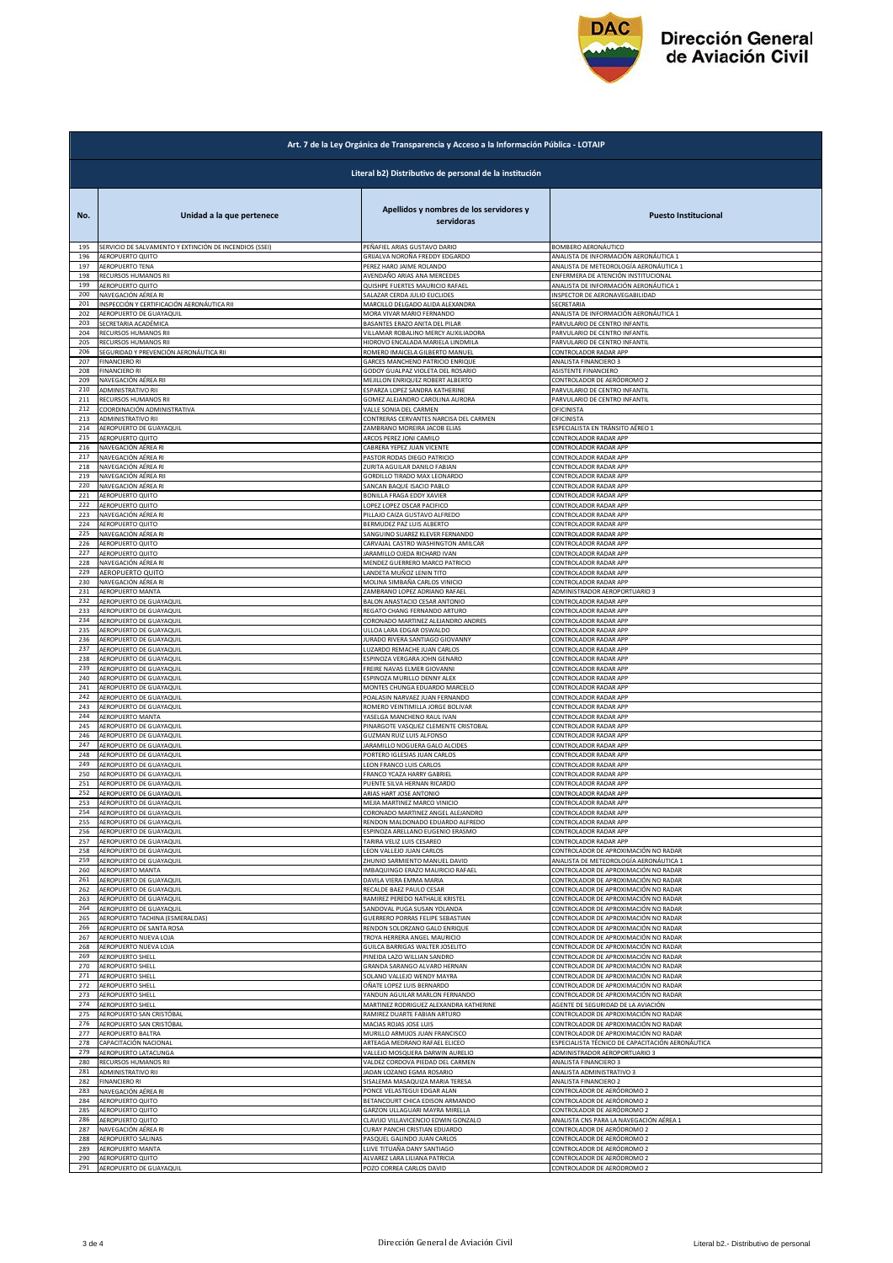

|            | Art. 7 de la Ley Orgánica de Transparencia y Acceso a la Información Pública - LOTAIP |                                                                       |                                                  |  |  |  |
|------------|---------------------------------------------------------------------------------------|-----------------------------------------------------------------------|--------------------------------------------------|--|--|--|
|            | Literal b2) Distributivo de personal de la institución                                |                                                                       |                                                  |  |  |  |
| No.        | Unidad a la que pertenece                                                             | Apellidos y nombres de los servidores y<br>servidoras                 | <b>Puesto Institucional</b>                      |  |  |  |
| 195        | SERVICIO DE SALVAMENTO Y EXTINCIÓN DE INCENDIOS (SSEI)                                | PEÑAFIEL ARIAS GUSTAVO DARIO                                          | BOMBERO AERONÁUTICO                              |  |  |  |
| 196        | <b>AEROPUERTO QUITO</b>                                                               | GRIJALVA NOROÑA FREDDY EDGARDO                                        | ANALISTA DE INFORMACIÓN AERONÁUTICA 1            |  |  |  |
| 197        | AEROPUERTO TENA                                                                       | PEREZ HARO JAIME ROLANDO                                              | ANALISTA DE METEOROLOGÍA AERONÁUTICA 1           |  |  |  |
| 198        | RECURSOS HUMANOS RII                                                                  | AVENDAÑO ARIAS ANA MERCEDES                                           | ENFERMERA DE ATENCIÓN INSTITUCIONAL              |  |  |  |
| 199        | AEROPUERTO QUITO                                                                      | QUISHPE FUERTES MAURICIO RAFAEL                                       | ANALISTA DE INFORMACIÓN AERONÁUTICA 1            |  |  |  |
| 200        | NAVEGACIÓN AÉREA RI                                                                   | SALAZAR CERDA JULIO EUCLIDES                                          | INSPECTOR DE AERONAVEGABILIDAD                   |  |  |  |
| 201        | INSPECCIÓN Y CERTIFICACIÓN AERONÁUTICA RII                                            | MARCILLO DELGADO ALIDA ALEXANDRA                                      | SECRETARIA                                       |  |  |  |
| 202        | AEROPUERTO DE GUAYAQUIL                                                               | MORA VIVAR MARIO FERNANDO                                             | ANALISTA DE INFORMACIÓN AERONÁUTICA 1            |  |  |  |
| 203        | SECRETARIA ACADÉMICA                                                                  | BASANTES ERAZO ANITA DEL PILAR                                        | PARVULARIO DE CENTRO INFANTIL                    |  |  |  |
| 204        | RECURSOS HUMANOS RII                                                                  | VILLAMAR ROBALINO MERCY AUXILIADORA                                   | PARVULARIO DE CENTRO INFANTIL                    |  |  |  |
| 205        | RECURSOS HUMANOS RII                                                                  | HIDROVO ENCALADA MARIELA LINDMILA                                     | PARVULARIO DE CENTRO INFANTIL                    |  |  |  |
| 206        | SEGURIDAD Y PREVENCIÓN AERONÁUTICA RII                                                | ROMERO IMAICELA GILBERTO MANUEL                                       | CONTROLADOR RADAR APP                            |  |  |  |
| 207        | <b>FINANCIERO RI</b>                                                                  | GARCES MANCHENO PATRICIO ENRIQUE                                      | ANALISTA FINANCIERO 3                            |  |  |  |
| 208        | <b>FINANCIERO RI</b>                                                                  | GODOY GUALPAZ VIOLETA DEL ROSARIO                                     | ASISTENTE FINANCIERO                             |  |  |  |
| 209        | NAVEGACIÓN AÉREA RII                                                                  | MEJILLON ENRIQUEZ ROBERT ALBERTO                                      | CONTROLADOR DE AERÓDROMO 2                       |  |  |  |
| 210        | ADMINISTRATIVO RII                                                                    | ESPARZA LOPEZ SANDRA KATHERINE                                        | PARVULARIO DE CENTRO INFANTIL                    |  |  |  |
| 211        | RECURSOS HUMANOS RII                                                                  | GOMEZ ALEJANDRO CAROLINA AURORA                                       | PARVULARIO DE CENTRO INFANTIL                    |  |  |  |
| 212        | COORDINACIÓN ADMINISTRATIVA                                                           | VALLE SONIA DEL CARMEN                                                | OFICINISTA                                       |  |  |  |
| 213        | ADMINISTRATIVO RII                                                                    | CONTRERAS CERVANTES NARCISA DEL CARMEN                                | OFICINISTA                                       |  |  |  |
| 214        | AEROPUERTO DE GUAYAQUIL                                                               | ZAMBRANO MOREIRA JACOB ELIAS                                          | ESPECIALISTA EN TRÁNSITO AÉREO 1                 |  |  |  |
| 215        | AEROPUERTO QUITO                                                                      | ARCOS PEREZ JONI CAMILO                                               | CONTROLADOR RADAR APP                            |  |  |  |
| 216        | NAVEGACIÓN AÉREA RI                                                                   | CABRERA YEPEZ JUAN VICENTE                                            | CONTROLADOR RADAR APP                            |  |  |  |
| 217        | NAVEGACIÓN AÉREA RI                                                                   | PASTOR RODAS DIEGO PATRICIO                                           | CONTROLADOR RADAR APP                            |  |  |  |
| 218        | NAVEGACIÓN AÉREA RI                                                                   | ZURITA AGUILAR DANILO FABIAN                                          | CONTROLADOR RADAR APP                            |  |  |  |
| 219        | NAVEGACIÓN AÉREA RII                                                                  | GORDILLO TIRADO MAX LEONARDO                                          | CONTROLADOR RADAR APP                            |  |  |  |
| 220<br>221 | NAVEGACIÓN AÉREA RI                                                                   | SANCAN BAQUE ISACIO PABLO                                             | CONTROLADOR RADAR APP<br>CONTROLADOR RADAR APP   |  |  |  |
| 222        | AEROPUERTO QUITO<br><b>AEROPUERTO QUITO</b>                                           | BONILLA FRAGA EDDY XAVIER<br>LOPEZ LOPEZ OSCAR PACIFICO               | CONTROLADOR RADAR APP                            |  |  |  |
| 223        | NAVEGACIÓN AÉREA RI                                                                   | PILLAJO CAIZA GUSTAVO ALFREDO                                         | CONTROLADOR RADAR APP                            |  |  |  |
| 224        | AEROPUERTO QUITO                                                                      | BERMUDEZ PAZ LUIS ALBERTO                                             | CONTROLADOR RADAR APP                            |  |  |  |
| 225        | NAVEGACIÓN AÉREA RI                                                                   | SANGUINO SUAREZ KLEVER FERNANDO                                       | CONTROLADOR RADAR APP                            |  |  |  |
| 226        | AEROPUERTO QUITO                                                                      | CARVAJAL CASTRO WASHINGTON AMILCAR                                    | CONTROLADOR RADAR APP                            |  |  |  |
| 227        | <b>AEROPUERTO QUITO</b>                                                               | JARAMILLO OJEDA RICHARD IVAN                                          | CONTROLADOR RADAR APP                            |  |  |  |
| 228        | NAVEGACIÓN AÉREA RI                                                                   | MENDEZ GUERRERO MARCO PATRICIO                                        | CONTROLADOR RADAR APP                            |  |  |  |
| 229        | AEROPUERTO QUITO                                                                      | LANDETA MUÑOZ LENIN TITO                                              | CONTROLADOR RADAR APP                            |  |  |  |
| 230        | NAVEGACIÓN AÉREA RI                                                                   | MOLINA SIMBAÑA CARLOS VINICIO                                         | CONTROLADOR RADAR APP                            |  |  |  |
| 231        | AEROPUERTO MANTA                                                                      | ZAMBRANO LOPEZ ADRIANO RAFAEL                                         | ADMINISTRADOR AEROPORTUARIO 3                    |  |  |  |
| 232<br>233 | AEROPUERTO DE GUAYAQUIL                                                               | BALON ANASTACIO CESAR ANTONIO                                         | CONTROLADOR RADAR APP<br>CONTROLADOR RADAR APP   |  |  |  |
| 234        | AEROPUERTO DE GUAYAQUIL<br><b>AEROPUERTO DE GUAYAQUIL</b>                             | REGATO CHANG FERNANDO ARTURO<br>CORONADO MARTINEZ ALEJANDRO ANDRES    | CONTROLADOR RADAR APP                            |  |  |  |
| 235        | AEROPUERTO DE GUAYAQUIL                                                               | ULLOA LARA EDGAR OSWALDO                                              | CONTROLADOR RADAR APP                            |  |  |  |
| 236        | AEROPUERTO DE GUAYAQUIL                                                               | JURADO RIVERA SANTIAGO GIOVANNY                                       | CONTROLADOR RADAR APP                            |  |  |  |
| 237        | AEROPUERTO DE GUAYAQUIL                                                               | LUZARDO REMACHE JUAN CARLOS                                           | CONTROLADOR RADAR APP                            |  |  |  |
| 238        | AEROPUERTO DE GUAYAQUIL                                                               | ESPINOZA VERGARA JOHN GENARO                                          | CONTROLADOR RADAR APP                            |  |  |  |
| 239        | AEROPUERTO DE GUAYAQUIL                                                               | FREIRE NAVAS ELMER GIOVANNI                                           | CONTROLADOR RADAR APP                            |  |  |  |
| 240        | AEROPUERTO DE GUAYAQUIL                                                               | ESPINOZA MURILLO DENNY ALEX                                           | CONTROLADOR RADAR APP                            |  |  |  |
| 241        | AEROPUERTO DE GUAYAQUIL                                                               | MONTES CHUNGA EDUARDO MARCELO                                         | CONTROLADOR RADAR APP                            |  |  |  |
| 242        | AEROPUERTO DE GUAYAQUIL                                                               | POALASIN NARVAEZ JUAN FERNANDO                                        | CONTROLADOR RADAR APP                            |  |  |  |
| 243        | AEROPUERTO DE GUAYAQUIL                                                               | ROMERO VEINTIMILLA JORGE BOLIVAR                                      | CONTROLADOR RADAR APP                            |  |  |  |
| 244        | AEROPUERTO MANTA                                                                      | YASELGA MANCHENO RAUL IVAN                                            | CONTROLADOR RADAR APP                            |  |  |  |
| 245        | AEROPUERTO DE GUAYAQUIL                                                               | PINARGOTE VASQUEZ CLEMENTE CRISTOBAL                                  | CONTROLADOR RADAR APP                            |  |  |  |
| 246        | AEROPUERTO DE GUAYAQUIL                                                               | <b>GUZMAN RUIZ LUIS ALFONSO</b>                                       | CONTROLADOR RADAR APP                            |  |  |  |
| 247        | AEROPUERTO DE GUAYAQUIL                                                               | ARAMILLO NOGUERA GALO ALCIDES                                         | CONTROLADOR RADAR APP                            |  |  |  |
| 248        | AEROPUERTO DE GUAYAQUIL                                                               | PORTERO IGLESIAS JUAN CARLOS                                          | CONTROLADOR RADAR APP                            |  |  |  |
| 249        | AEROPUERTO DE GUAYAQUIL                                                               | LEON FRANCO LUIS CARLOS                                               | CONTROLADOR RADAR APP                            |  |  |  |
| 250        | AEROPUERTO DE GUAYAQUIL                                                               | FRANCO YCAZA HARRY GABRIEL                                            | CONTROLADOR RADAR APP                            |  |  |  |
| 251        | AEROPUERTO DE GUAYAQUIL                                                               | PUENTE SILVA HERNAN RICARDO                                           | CONTROLADOR RADAR APP                            |  |  |  |
| 252        | AEROPUERTO DE GUAYAQUIL                                                               | ARIAS HART JOSE ANTONIO                                               | CONTROLADOR RADAR APP                            |  |  |  |
| 253<br>254 | AEROPUERTO DE GUAYAQUIL<br>AEROPUERTO DE GUAYAQUIL                                    | MEJIA MARTINEZ MARCO VINICIO                                          | CONTROLADOR RADAR APP                            |  |  |  |
| 255        | AEROPUERTO DE GUAYAQUIL                                                               | CORONADO MARTINEZ ANGEL ALEJANDRO<br>RENDON MALDONADO EDUARDO ALFREDO | CONTROLADOR RADAR APP<br>CONTROLADOR RADAR APP   |  |  |  |
| 256        | AEROPUERTO DE GUAYAQUIL                                                               | ESPINOZA ARELLANO EUGENIO ERASMO                                      | CONTROLADOR RADAR APP                            |  |  |  |
| 257        | AEROPUERTO DE GUAYAQUIL                                                               | TARIRA VELIZ LUIS CESAREO                                             | CONTROLADOR RADAR APP                            |  |  |  |
| 258        | AEROPUERTO DE GUAYAQUIL                                                               | LEON VALLEJO JUAN CARLOS                                              | CONTROLADOR DE APROXIMACIÓN NO RADAR             |  |  |  |
| 259        | AEROPUERTO DE GUAYAQUIL                                                               | ZHUNIO SARMIENTO MANUEL DAVID                                         | ANALISTA DE METEOROLOGÍA AERONÁUTICA 1           |  |  |  |
| 260        | AEROPUERTO MANTA                                                                      | IMBAQUINGO ERAZO MAURICIO RAFAEL                                      | CONTROLADOR DE APROXIMACIÓN NO RADAR             |  |  |  |
| 261        | AEROPUERTO DE GUAYAQUIL                                                               | DAVILA VIERA EMMA MARIA                                               | CONTROLADOR DE APROXIMACIÓN NO RADAR             |  |  |  |
| 262        | AEROPUERTO DE GUAYAQUIL                                                               | RECALDE BAEZ PAULO CESAR                                              | CONTROLADOR DE APROXIMACIÓN NO RADAR             |  |  |  |
| 263        | AEROPUERTO DE GUAYAQUIL                                                               | RAMIREZ PEREDO NATHALIE KRISTEL                                       | CONTROLADOR DE APROXIMACIÓN NO RADAR             |  |  |  |
| 264        | AEROPUERTO DE GUAYAQUIL                                                               | SANDOVAL PUGA SUSAN YOLANDA                                           | CONTROLADOR DE APROXIMACIÓN NO RADAR             |  |  |  |
| 265        | AEROPUERTO TACHINA (ESMERALDAS)                                                       | GUERRERO PORRAS FELIPE SEBASTIAN                                      | CONTROLADOR DE APROXIMACIÓN NO RADAR             |  |  |  |
| 266        | AEROPUERTO DE SANTA ROSA                                                              | RENDON SOLORZANO GALO ENRIQUE                                         | CONTROLADOR DE APROXIMACIÓN NO RADAR             |  |  |  |
| 267        | AEROPUERTO NUEVA LOJA                                                                 | TROYA HERRERA ANGEL MAURICIO                                          | CONTROLADOR DE APROXIMACIÓN NO RADAR             |  |  |  |
| 268        | AEROPUERTO NUEVA LOJA                                                                 | GUILCA BARRIGAS WALTER JOSELITO                                       | CONTROLADOR DE APROXIMACIÓN NO RADAR             |  |  |  |
| 269        | AEROPUERTO SHELL                                                                      | PINEIDA LAZO WILLIAN SANDRO                                           | CONTROLADOR DE APROXIMACIÓN NO RADAR             |  |  |  |
| 270        | AEROPUERTO SHELL                                                                      | GRANDA SARANGO ALVARO HERNAN                                          | CONTROLADOR DE APROXIMACIÓN NO RADAR             |  |  |  |
| 271        | AEROPUERTO SHELL                                                                      | SOLANO VALLEJO WENDY MAYRA                                            | CONTROLADOR DE APROXIMACIÓN NO RADAR             |  |  |  |
| 272        | AEROPUERTO SHELL                                                                      | OÑATE LOPEZ LUIS BERNARDO                                             | CONTROLADOR DE APROXIMACIÓN NO RADAR             |  |  |  |
| 273        | <b>AEROPUERTO SHELL</b>                                                               | YANDUN AGUILAR MARLON FERNANDO                                        | CONTROLADOR DE APROXIMACIÓN NO RADAR             |  |  |  |
| 274        | AEROPUERTO SHELL                                                                      | MARTINEZ RODRIGUEZ ALEXANDRA KATHERINE                                | AGENTE DE SEGURIDAD DE LA AVIACIÓN               |  |  |  |
| 275        | AEROPUERTO SAN CRISTÓBAL                                                              | RAMIREZ DUARTE FABIAN ARTURO                                          | CONTROLADOR DE APROXIMACIÓN NO RADAR             |  |  |  |
| 276        | AEROPUERTO SAN CRISTÓBAL                                                              | MACIAS ROJAS JOSE LUIS                                                | CONTROLADOR DE APROXIMACIÓN NO RADAR             |  |  |  |
| 277        | AEROPUERTO BALTRA                                                                     | MURILLO ARMIJOS JUAN FRANCISCO                                        | CONTROLADOR DE APROXIMACIÓN NO RADAR             |  |  |  |
| 278        | CAPACITACIÓN NACIONAL                                                                 | ARTEAGA MEDRANO RAFAEL ELICEO                                         | ESPECIALISTA TÉCNICO DE CAPACITACIÓN AERONÁUTICA |  |  |  |
| 279        | AEROPUERTO LATACUNGA                                                                  | VALLEJO MOSQUERA DARWIN AURELIO                                       | ADMINISTRADOR AEROPORTUARIO 3                    |  |  |  |
| 280        | RECURSOS HUMANOS RII                                                                  | VALDEZ CORDOVA PIEDAD DEL CARMEN                                      | ANALISTA FINANCIERO 3                            |  |  |  |
| 281        | ADMINISTRATIVO RII                                                                    | JADAN LOZANO EGMA ROSARIO                                             | ANALISTA ADMINISTRATIVO 3                        |  |  |  |
| 282        | <b>FINANCIERO RI</b>                                                                  | SISALEMA MASAQUIZA MARIA TERESA                                       | ANALISTA FINANCIERO 2                            |  |  |  |
| 283        | NAVEGACIÓN AÉREA RI                                                                   | PONCE VELASTEGUI EDGAR ALAN                                           | CONTROLADOR DE AERÓDROMO 2                       |  |  |  |
| 284        | AEROPUERTO QUITO                                                                      | BETANCOURT CHICA EDISON ARMANDO                                       | CONTROLADOR DE AERÓDROMO 2                       |  |  |  |
| 285        | AEROPUERTO QUITO                                                                      | GARZON ULLAGUARI MAYRA MIRELLA                                        | CONTROLADOR DE AERÓDROMO 2                       |  |  |  |
| 286        | AEROPUERTO QUITO                                                                      | CLAVIJO VILLAVICENCIO EDWIN GONZALO                                   | ANALISTA CNS PARA LA NAVEGACIÓN AÉREA 1          |  |  |  |
| 287        | NAVEGACIÓN AÉREA RI                                                                   | CURAY PANCHI CRISTIAN EDUARDO                                         | CONTROLADOR DE AERÓDROMO 2                       |  |  |  |
| 288        | AEROPUERTO SALINAS                                                                    | PASQUEL GALINDO JUAN CARLOS                                           | CONTROLADOR DE AERÓDROMO 2                       |  |  |  |
| 289        | AEROPUERTO MANTA                                                                      | LLIVE TITUAÑA DANY SANTIAGO                                           | CONTROLADOR DE AERÓDROMO 2                       |  |  |  |
| 290        | AEROPUERTO QUITO                                                                      | ALVAREZ LARA LILIANA PATRICIA                                         | CONTROLADOR DE AERÓDROMO 2                       |  |  |  |
| 291        | AEROPUERTO DE GUAYAQUIL                                                               | POZO CORREA CARLOS DAVID                                              | CONTROLADOR DE AERÓDROMO 2                       |  |  |  |